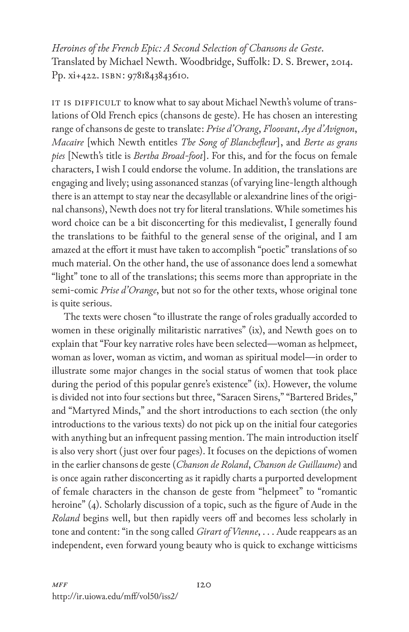*Heroines of the French Epic: A Second Selection of Chansons de Geste*. Translated by Michael Newth. Woodbridge, Suffolk: D. S. Brewer, 2014. Pp. xi+422. ISBN: 9781843843610.

IT IS DIFFICULT to know what to say about Michael Newth's volume of translations of Old French epics (chansons de geste). He has chosen an interesting range of chansons de geste to translate: *Prise d'Orang*, *Floovant*, *Aye d'Avignon*, *Macaire* [which Newth entitles *The Song of Blanchefleur*], and *Berte as grans pies* [Newth's title is *Bertha Broad-foot*]. For this, and for the focus on female characters, I wish I could endorse the volume. In addition, the translations are engaging and lively; using assonanced stanzas (of varying line-length although there is an attempt to stay near the decasyllable or alexandrine lines of the original chansons), Newth does not try for literal translations. While sometimes his word choice can be a bit disconcerting for this medievalist, I generally found the translations to be faithful to the general sense of the original, and I am amazed at the effort it must have taken to accomplish "poetic" translations of so much material. On the other hand, the use of assonance does lend a somewhat "light" tone to all of the translations; this seems more than appropriate in the semi-comic *Prise d'Orange*, but not so for the other texts, whose original tone is quite serious.

The texts were chosen "to illustrate the range of roles gradually accorded to women in these originally militaristic narratives" (ix), and Newth goes on to explain that "Four key narrative roles have been selected—woman as helpmeet, woman as lover, woman as victim, and woman as spiritual model—in order to illustrate some major changes in the social status of women that took place during the period of this popular genre's existence" (ix). However, the volume is divided not into four sections but three, "Saracen Sirens," "Bartered Brides," and "Martyred Minds," and the short introductions to each section (the only introductions to the various texts) do not pick up on the initial four categories with anything but an infrequent passing mention. The main introduction itself is also very short (just over four pages). It focuses on the depictions of women in the earlier chansons de geste (*Chanson de Roland*, *Chanson de Guillaume*) and is once again rather disconcerting as it rapidly charts a purported development of female characters in the chanson de geste from "helpmeet" to "romantic heroine" (4). Scholarly discussion of a topic, such as the figure of Aude in the *Roland* begins well, but then rapidly veers off and becomes less scholarly in tone and content: "in the song called *Girart of Vienne*, . . . Aude reappears as an independent, even forward young beauty who is quick to exchange witticisms